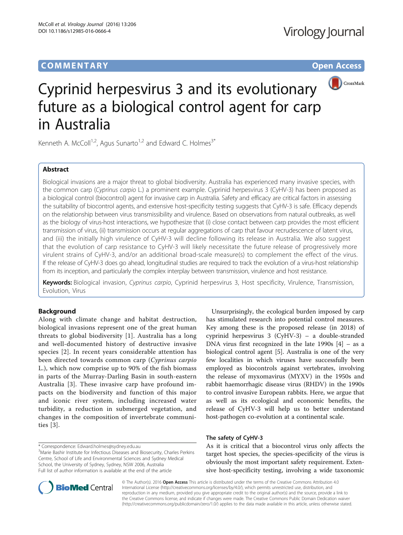## **COMMENTARY COMMENTARY Open Access**



# Cyprinid herpesvirus 3 and its evolutionary future as a biological control agent for carp in Australia

Kenneth A. McColl<sup>1,2</sup>, Agus Sunarto<sup>1,2</sup> and Edward C. Holmes<sup>3\*</sup>

## Abstract

Biological invasions are a major threat to global biodiversity. Australia has experienced many invasive species, with the common carp (Cyprinus carpio L.) a prominent example. Cyprinid herpesvirus 3 (CyHV-3) has been proposed as a biological control (biocontrol) agent for invasive carp in Australia. Safety and efficacy are critical factors in assessing the suitability of biocontrol agents, and extensive host-specificity testing suggests that CyHV-3 is safe. Efficacy depends on the relationship between virus transmissibility and virulence. Based on observations from natural outbreaks, as well as the biology of virus-host interactions, we hypothesize that (i) close contact between carp provides the most efficient transmission of virus, (ii) transmission occurs at regular aggregations of carp that favour recrudescence of latent virus, and (iii) the initially high virulence of CyHV-3 will decline following its release in Australia. We also suggest that the evolution of carp resistance to CyHV-3 will likely necessitate the future release of progressively more virulent strains of CyHV-3, and/or an additional broad-scale measure(s) to complement the effect of the virus. If the release of CyHV-3 does go ahead, longitudinal studies are required to track the evolution of a virus-host relationship from its inception, and particularly the complex interplay between transmission, virulence and host resistance.

Keywords: Biological invasion, Cyprinus carpio, Cyprinid herpesvirus 3, Host specificity, Virulence, Transmission, Evolution, Virus

## Background

Along with climate change and habitat destruction, biological invasions represent one of the great human threats to global biodiversity [[1\]](#page-2-0). Australia has a long and well-documented history of destructive invasive species [[2\]](#page-2-0). In recent years considerable attention has been directed towards common carp (Cyprinus carpio L.), which now comprise up to 90% of the fish biomass in parts of the Murray-Darling Basin in south-eastern Australia [[3\]](#page-2-0). These invasive carp have profound impacts on the biodiversity and function of this major and iconic river system, including increased water turbidity, a reduction in submerged vegetation, and changes in the composition of invertebrate communities [[3\]](#page-2-0).

\* Correspondence: [Edward.holmes@sydney.edu.au](mailto:Edward.holmes@sydney.edu.au) <sup>3</sup>

<sup>3</sup>Marie Bashir Institute for Infectious Diseases and Biosecurity, Charles Perkins Centre, School of Life and Environmental Sciences and Sydney Medical School, the University of Sydney, Sydney, NSW 2006, Australia Full list of author information is available at the end of the article

Unsurprisingly, the ecological burden imposed by carp has stimulated research into potential control measures. Key among these is the proposed release (in 2018) of cyprinid herpesvirus 3 (CyHV-3) – a double-stranded DNA virus first recognized in the late 1990s [[4\]](#page-2-0) – as a biological control agent [[5\]](#page-2-0). Australia is one of the very few localities in which viruses have successfully been employed as biocontrols against vertebrates, involving the release of myxomavirus (MYXV) in the 1950s and rabbit haemorrhagic disease virus (RHDV) in the 1990s to control invasive European rabbits. Here, we argue that as well as its ecological and economic benefits, the release of CyHV-3 will help us to better understand host-pathogen co-evolution at a continental scale.

### The safety of CyHV-3

As it is critical that a biocontrol virus only affects the target host species, the species-specificity of the virus is obviously the most important safety requirement. Extensive host-specificity testing, involving a wide taxonomic



© The Author(s). 2016 Open Access This article is distributed under the terms of the Creative Commons Attribution 4.0 International License [\(http://creativecommons.org/licenses/by/4.0/](http://creativecommons.org/licenses/by/4.0/)), which permits unrestricted use, distribution, and reproduction in any medium, provided you give appropriate credit to the original author(s) and the source, provide a link to the Creative Commons license, and indicate if changes were made. The Creative Commons Public Domain Dedication waiver [\(http://creativecommons.org/publicdomain/zero/1.0/](http://creativecommons.org/publicdomain/zero/1.0/)) applies to the data made available in this article, unless otherwise stated.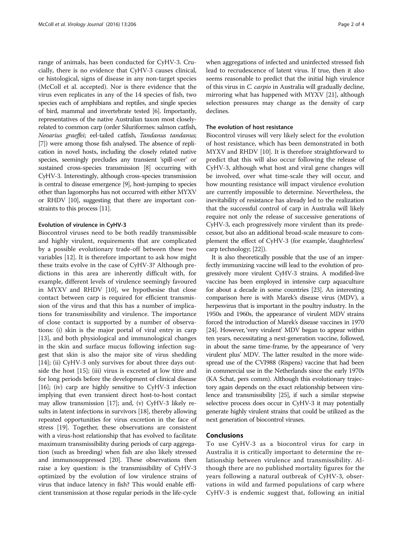range of animals, has been conducted for CyHV-3. Crucially, there is no evidence that CyHV-3 causes clinical, or histological, signs of disease in any non-target species (McColl et al. accepted). Nor is there evidence that the virus even replicates in any of the 14 species of fish, two species each of amphibians and reptiles, and single species of bird, mammal and invertebrate tested [\[6](#page-2-0)]. Importantly, representatives of the native Australian taxon most closelyrelated to common carp (order Siluriformes: salmon catfish, Neoarius graeffei; eel-tailed catfish, Tandanus tandanus; [[7](#page-2-0)]) were among those fish analysed. The absence of replication in novel hosts, including the closely related native species, seemingly precludes any transient 'spill-over' or sustained cross-species transmission [\[8\]](#page-2-0) occurring with CyHV-3. Interestingly, although cross-species transmission is central to disease emergence [\[9](#page-2-0)], host-jumping to species other than lagomorphs has not occurred with either MYXV or RHDV [\[10](#page-2-0)], suggesting that there are important constraints to this process [\[11](#page-2-0)].

#### Evolution of virulence in CyHV-3

Biocontrol viruses need to be both readily transmissible and highly virulent, requirements that are complicated by a possible evolutionary trade-off between these two variables [\[12](#page-2-0)]. It is therefore important to ask how might these traits evolve in the case of CyHV-3? Although predictions in this area are inherently difficult with, for example, different levels of virulence seemingly favoured in MYXV and RHDV [\[10](#page-2-0)], we hypothesise that close contact between carp is required for efficient transmission of the virus and that this has a number of implications for transmissibility and virulence. The importance of close contact is supported by a number of observations: (i) skin is the major portal of viral entry in carp [[13\]](#page-2-0), and both physiological and immunological changes in the skin and surface mucus following infection suggest that skin is also the major site of virus shedding [[14\]](#page-2-0); (ii) CyHV-3 only survives for about three days outside the host [\[15\]](#page-2-0); (iii) virus is excreted at low titre and for long periods before the development of clinical disease [[16](#page-2-0)]; (iv) carp are highly sensitive to CyHV-3 infection implying that even transient direct host-to-host contact may allow transmission [\[17\]](#page-2-0); and, (v) CyHV-3 likely results in latent infections in survivors [\[18\]](#page-2-0), thereby allowing repeated opportunities for virus excretion in the face of stress [\[19\]](#page-2-0). Together, these observations are consistent with a virus-host relationship that has evolved to facilitate maximum transmissibility during periods of carp aggregation (such as breeding) when fish are also likely stressed and immunosuppressed [\[20\]](#page-2-0). These observations then raise a key question: is the transmissibility of CyHV-3 optimized by the evolution of low virulence strains of virus that induce latency in fish? This would enable efficient transmission at those regular periods in the life-cycle

when aggregations of infected and uninfected stressed fish lead to recrudescence of latent virus. If true, then it also seems reasonable to predict that the initial high virulence of this virus in C. carpio in Australia will gradually decline, mirroring what has happened with MYXV [\[21\]](#page-2-0), although selection pressures may change as the density of carp declines.

#### The evolution of host resistance

Biocontrol viruses will very likely select for the evolution of host resistance, which has been demonstrated in both MYXV and RHDV [[10](#page-2-0)]. It is therefore straightforward to predict that this will also occur following the release of CyHV-3, although what host and viral gene changes will be involved, over what time-scale they will occur, and how mounting resistance will impact virulence evolution are currently impossible to determine. Nevertheless, the inevitability of resistance has already led to the realization that the successful control of carp in Australia will likely require not only the release of successive generations of CyHV-3, each progressively more virulent than its predecessor, but also an additional broad-scale measure to complement the effect of CyHV-3 (for example, 'daughterless' carp technology; [\[22\]](#page-2-0)).

It is also theoretically possible that the use of an imperfectly immunizing vaccine will lead to the evolution of progressively more virulent CyHV-3 strains. A modified-live vaccine has been employed in intensive carp aquaculture for about a decade in some countries [\[23\]](#page-2-0). An interesting comparison here is with Marek's disease virus (MDV), a herpesvirus that is important in the poultry industry. In the 1950s and 1960s, the appearance of virulent MDV strains forced the introduction of Marek's disease vaccines in 1970 [[24](#page-2-0)]. However, 'very virulent' MDV began to appear within ten years, necessitating a next-generation vaccine, followed, in about the same time-frame, by the appearance of 'very virulent plus' MDV. The latter resulted in the more widespread use of the CVI988 (Rispens) vaccine that had been in commercial use in the Netherlands since the early 1970s (KA Schat, pers comm). Although this evolutionary trajectory again depends on the exact relationship between virulence and transmissibility [[25](#page-2-0)], if such a similar stepwise selective process does occur in CyHV-3 it may potentially generate highly virulent strains that could be utilized as the next generation of biocontrol viruses.

## Conclusions

To use CyHV-3 as a biocontrol virus for carp in Australia it is critically important to determine the relationship between virulence and transmissibility. Although there are no published mortality figures for the years following a natural outbreak of CyHV-3, observations in wild and farmed populations of carp where CyHV-3 is endemic suggest that, following an initial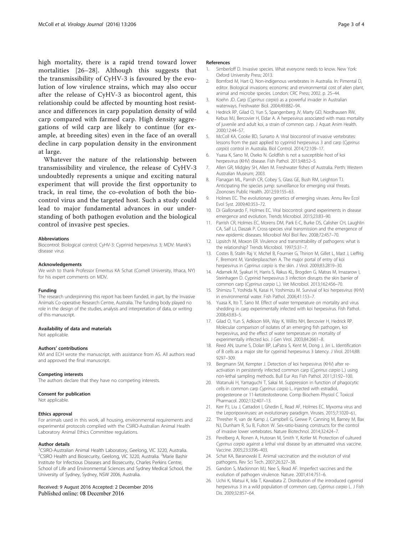<span id="page-2-0"></span>high mortality, there is a rapid trend toward lower mortalities [26–[28](#page-3-0)]. Although this suggests that the transmissibility of CyHV-3 is favoured by the evolution of low virulence strains, which may also occur after the release of CyHV-3 as biocontrol agent, this relationship could be affected by mounting host resistance and differences in carp population density of wild carp compared with farmed carp. High density aggregations of wild carp are likely to continue (for example, at breeding sites) even in the face of an overall decline in carp population density in the environment at large.

Whatever the nature of the relationship between transmissibility and virulence, the release of CyHV-3 undoubtedly represents a unique and exciting natural experiment that will provide the first opportunity to track, in real time, the co-evolution of both the biocontrol virus and the targeted host. Such a study could lead to major fundamental advances in our understanding of both pathogen evolution and the biological control of invasive pest species.

#### Abbreviations

Biocontrol: Biological control; CyHV-3: Cyprinid herpesvirus 3; MDV: Marek's disease virus

#### Acknowledgements

We wish to thank Professor Emeritus KA Schat (Cornell University, Ithaca, NY) for his expert comments on MDV.

#### Funding

The research underpinning this report has been funded, in part, by the Invasive Animals Co-operative Research Centre, Australia. The funding body played no role in the design of the studies, analysis and interpretation of data, or writing of this manuscript.

#### Availability of data and materials

Not applicable.

#### Authors' contributions

KM and ECH wrote the manuscript, with assistance from AS. All authors read and approved the final manuscript.

#### Competing interests

The authors declare that they have no competing interests.

#### Consent for publication

Not applicable.

#### Ethics approval

For animals used in this work, all housing, environmental requirements and experimental protocols complied with the CSIRO-Australian Animal Health Laboratory Animal Ethics Committee regulations.

#### Author details

<sup>1</sup>CSIRO-Australian Animal Health Laboratory, Geelong, VIC 3220, Australia. <sup>2</sup>CSIRO Health and Biosecurity, Geelong, VIC 3220, Australia. <sup>3</sup>Marie Bashir Institute for Infectious Diseases and Biosecurity, Charles Perkins Centre, School of Life and Environmental Sciences and Sydney Medical School, the University of Sydney, Sydney, NSW 2006, Australia.

#### Received: 9 August 2016 Accepted: 2 December 2016 Published online: 08 December 2016

#### References

- 1. Simberloff D. Invasive species. What everyone needs to know. New York: Oxford University Press; 2013.
- 2. Bomford M, Hart Q. Non-indigenous vertebrates in Australia. In: Pimental D, editor. Biological invasions: economic and environmental cost of alien plant, animal and microbe species. London: CRC Press; 2002. p. 25–44.
- 3. Koehn JD. Carp (Cyprinus carpio) as a powerful invader in Australian waterways. Freshwater Biol. 2004;49:882–94.
- 4. Hedrick RP, Gilad O, Yun S, Spangenberg JV, Marty GD, Nordhausen RW, Kebus MJ, Bercovier H, Eldar A. A herpesvirus associated with mass mortality of juvenile and adult koi, a strain of common carp. J Aquat Anim Health. 2000;12:44–57.
- 5. McColl KA, Cooke BD, Sunarto A. Viral biocontrol of invasive vertebrates: lessons from the past applied to cyprinid herpesvirus 3 and carp (Cyprinus carpio) control in Australia. Biol Control. 2014;72:109–17.
- 6. Yuasa K, Sano M, Oseko N. Goldfish is not a susceptible host of koi herpesvirus (KHV) disease. Fish Pathol. 2013;48:52-5.
- 7. Allen GR, Midgley SH, Allen M. Freshwater fishes of Australia. Perth: Western Australian Museum; 2003.
- 8. Flanagan ML, Parrish CR, Cobey S, Glass GE, Bush RM, Leighton TJ. Anticipating the species jump: surveillance for emerging viral threats. Zoonoses Public Health. 2012;59:155–63.
- 9. Holmes EC. The evolutionary genetics of emerging viruses. Annu Rev Ecol Evol Syst. 2009;40:353–72.
- 10. Di Giallonardo F, Holmes EC. Viral biocontrol: grand experiments in disease emergence and evolution. Trends Microbiol. 2015;23:83–90.
- 11. Parrish CR, Holmes EC, Morens DM, Park E-C, Burke DS, Calisher CH, Laughlin CA, Saif LJ, Daszak P. Cross-species viral transmission and the emergence of new epidemic diseases. Microbiol Mol Biol Rev. 2008;72:457–70.
- 12. Lipsitch M, Moxon ER. Virulence and transmittability of pathogens: what is the relationship? Trends Microbiol. 1997;5:31–7.
- 13. Costes B, Stalin Raj V, Michel B, Fournier G, Thirion M, Gillet L, Mast J, Lieffrig F, Bremont M, Vanderplasschen A. The major portal of entry of koi herpesvirus in Cyprinus carpio is the skin. J Virol. 2009;83:2819–30.
- 14. Adamek M, Syakuri H, Harris S, Rakus KL, Brogden G, Matras M, Irnazarow I, Steinhagen D. Cyprinid herpesvirus 3 infection disrupts the skin barrier of common carp (Cyprinus carpio L.). Vet Microbiol. 2013;162:456–70.
- 15. Shimizu T, Yoshida N, Kasai H, Yoshimizu M. Survival of koi herpesvirus (KHV) in environmental water. Fish Pathol. 2006;41:153–7.
- 16. Yuasa K, Ito T, Sano M. Effect of water temperature on mortality and virus shedding in carp experimentally infected with koi herpesvirus. Fish Pathol. 2008;43:83–5.
- 17. Gilad O, Yun S, Adkison MA, Way K, Willits NH, Bercovier H, Hedrick RP. Molecular comparison of isolates of an emerging fish pathogen, koi herpesvirus, and the effect of water temperature on mortality of experimentally infected koi. J Gen Virol. 2003;84:2661–8.
- 18. Reed AN, Izume S, Dolan BP, LaPatra S, Kent M, Dong J, Jin L. Identification of B cells as a major site for cyprinid herpesvirus 3 latency. J Virol. 2014;88: 9297–309.
- 19. Bergmann SM, Kempter J. Detection of koi herpesvirus (KHV) after reactivation in persistently infected common carp (Cyprinus carpio L.) using non-lethal sampling methods. Bull Eur Ass Fish Pathol. 2011;31:92–100.
- 20. Watanuki H, Yamaguchi T, Sakai M. Suppression in function of phagocytic cells in common carp Cyprinus carpio L. injected with estradiol, progesterone or 11-ketotestosterone. Comp Biochem Physiol C Toxicol Pharmacol. 2002;132:407–13.
- 21. Kerr PJ, Liu J, Cattadori I, Ghedin E, Read AF, Holmes EC. Myxoma virus and the Leporipoxviruses: an evolutionary paradigm. Viruses. 2015;7:1020–61.
- 22. Thresher R, van de Kamp J, Campbell G, Grewe P, Canning M, Barney M, Bax NJ, Dunham R, Su B, Fulton W. Sex-ratio-biasing constructs for the control of invasive lower vertebrates. Nature Biotechnol. 2014;32:424–7.
- 23. Perelberg A, Ronen A, Hutoran M, Smith Y, Kotler M. Protection of cultured Cyprinus carpio against a lethal viral disease by an attenuated virus vaccine. Vaccine. 2005;23:3396–403.
- 24. Schat KA, Baranowski E. Animal vaccination and the evolution of viral pathogens. Rev Sci Tech. 2007;26:327–38.
- 25. Gandon S, Mackinnon MJ, Nee S, Read AF. Imperfect vaccines and the evolution of pathogen virulence. Nature. 2001;414:751–6.
- 26. Uchii K, Matsui K, Iida T, Kawabata Z. Distribution of the introduced cyprinid herpesvirus 3 in a wild population of common carp, Cyprinus carpio L. J Fish Dis. 2009;32:857–64.